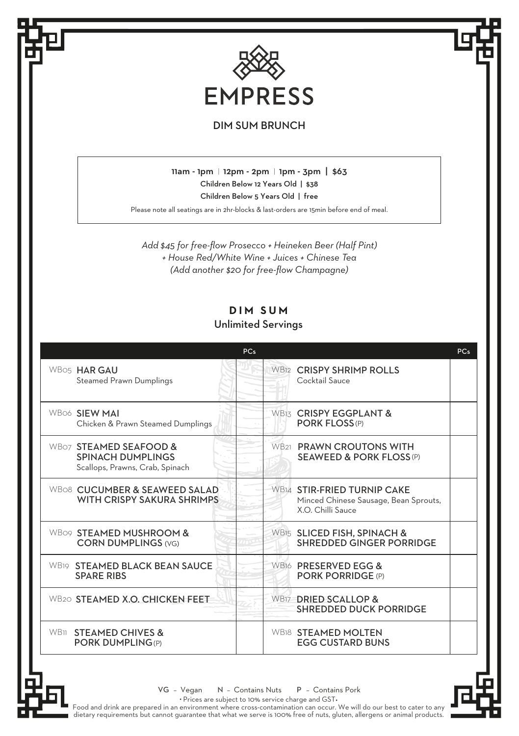

## DIM SUM BRUNCH

11am - 1pm | 12pm - 2pm | 1pm - 3pm | \$63 Children Below 12 Years Old | \$38

Children Below 5 Years Old | free

Please note all seatings are in 2hr-blocks & last-orders are 15min before end of meal.

*Add \$45 for free-flow Prosecco + Heineken Beer (Half Pint) + House Red/White Wine + Juices + Chinese Tea (Add another \$20 for free-flow Champagne)*

## **DIM SUM** Unlimited Servings

|                                                                                       | <b>PCs</b> |                                                                                                 | <b>PCs</b> |
|---------------------------------------------------------------------------------------|------------|-------------------------------------------------------------------------------------------------|------------|
| WBO5 HAR GAU<br><b>Steamed Prawn Dumplings</b>                                        |            | WB12 CRISPY SHRIMP ROLLS<br>Cocktail Sauce                                                      |            |
| <b>WBo6 SIFW MAI</b><br>Chicken & Prawn Steamed Dumplings                             |            | <b>WBI3 CRISPY EGGPLANT &amp;</b><br><b>PORK FLOSS(P)</b>                                       |            |
| WB07 STEAMED SEAFOOD &<br><b>SPINACH DUMPLINGS</b><br>Scallops, Prawns, Crab, Spinach |            | WB21 PRAWN CROUTONS WITH<br><b>SEAWEED &amp; PORK FLOSS (P)</b>                                 |            |
| WBo8 CUCUMBER & SEAWEED SALAD<br>WITH CRISPY SAKURA SHRIMPS                           |            | <b>WB14 STIR-FRIED TURNIP CAKE</b><br>Minced Chinese Sausage, Bean Sprouts,<br>X O Chilli Sauce |            |
| WB09 STEAMED MUSHROOM &<br><b>CORN DUMPLINGS (VG)</b>                                 |            | WB15 SLICED FISH, SPINACH &<br>SHREDDED GINGER PORRIDGE                                         |            |
| WB19 STEAMED BLACK BEAN SAUCE<br><b>SPARE RIBS</b>                                    |            | WB16 PRESERVED EGG &<br><b>PORK PORRIDGE (P)</b>                                                |            |
| WB20 STEAMED X.O. CHICKEN FEET                                                        |            | WB17 DRIED SCALLOP &<br><b>SHREDDED DUCK PORRIDGE</b>                                           |            |
| <b>WB11 STEAMED CHIVES &amp;</b><br><b>PORK DUMPLING(P)</b>                           |            | WB18 STEAMED MOLTEN<br><b>EGG CUSTARD BUNS</b>                                                  |            |



VG - Vegan N - Contains Nuts P - Contains Pork

• Prices are subject to 10% service charge and GST •

Food and drink are prepared in an environment where cross-contamination can occur. We will do our best to cater to any<br>dietary requirements but cannot guarantee that what we serve is 100% free of nuts, gluten, allergens or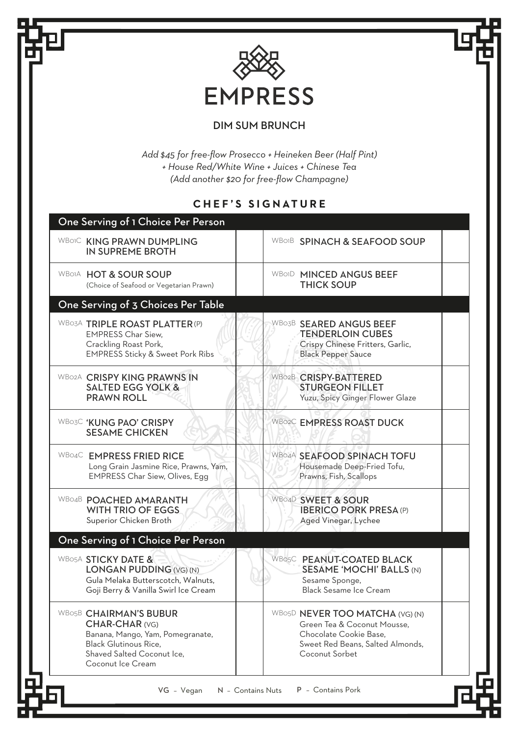

## DIM SUM BRUNCH

*Add \$45 for free-flow Prosecco + Heineken Beer (Half Pint) + House Red/White Wine + Juices + Chinese Tea (Add another \$20 for free-flow Champagne)*

## **CHEF'S SIGNATURE**

| One Serving of 1 Choice Per Person                                                                                                                              |                                                                                                                                                |  |
|-----------------------------------------------------------------------------------------------------------------------------------------------------------------|------------------------------------------------------------------------------------------------------------------------------------------------|--|
| WBOIC KING PRAWN DUMPLING<br>IN SUPREME BROTH                                                                                                                   | <b>WBOIB SPINACH &amp; SEAFOOD SOUP</b>                                                                                                        |  |
| WBOIA HOT & SOUR SOUP<br>(Choice of Seafood or Vegetarian Prawn)                                                                                                | WBOID MINCED ANGUS BEEF<br><b>THICK SOUP</b>                                                                                                   |  |
| One Serving of 3 Choices Per Table                                                                                                                              |                                                                                                                                                |  |
| WB03A TRIPLE ROAST PLATTER (P)<br><b>EMPRESS Char Siew.</b><br>Crackling Roast Pork,<br><b>EMPRESS Sticky &amp; Sweet Pork Ribs</b>                             | WBO3B SEARED ANGUS BEEF<br><b>TENDERLOIN CUBES</b><br>Crispy Chinese Fritters, Garlic,<br><b>Black Pepper Sauce</b>                            |  |
| WB02A CRISPY KING PRAWNS IN<br><b>SALTED EGG YOLK &amp;</b><br>PRAWN ROLL                                                                                       | WB02B CRISPY-BATTERED<br><b>STURGEON FILLET</b><br>Yuzu, Spicy Ginger Flower Glaze                                                             |  |
| <b>WBO3C 'KUNG PAO' CRISPY</b><br><b>SESAME CHICKEN</b>                                                                                                         | WB02C EMPRESS ROAST DUCK                                                                                                                       |  |
| WB04C EMPRESS FRIED RICE<br>Long Grain Jasmine Rice, Prawns, Yam,<br><b>EMPRESS Char Siew, Olives, Egg</b>                                                      | WB04A SEAFOOD SPINACH TOFU<br>Housemade Deep-Fried Tofu,<br>Prawns, Fish, Scallops                                                             |  |
| WB04B POACHED AMARANTH<br>WITH TRIO OF EGGS.<br>Superior Chicken Broth                                                                                          | WBo4D SWEET & SOUR<br><b>IBERICO PORK PRESA (P)</b><br>Aged Vinegar, Lychee                                                                    |  |
| One Serving of 1 Choice Per Person                                                                                                                              |                                                                                                                                                |  |
| WB05A STICKY DATE &<br>LONGAN PUDDING (VG) (N)<br>Gula Melaka Butterscotch, Walnuts,<br>Goji Berry & Vanilla Swirl Ice Cream                                    | WBo5C PEANUT-COATED BLACK<br><b>SESAME 'MOCHI' BALLS (N)</b><br>Sesame Sponge,<br><b>Black Sesame Ice Cream</b>                                |  |
| WBO5B CHAIRMAN'S BUBUR<br>CHAR-CHAR (VG)<br>Banana, Mango, Yam, Pomegranate,<br><b>Black Glutinous Rice.</b><br>Shaved Salted Coconut Ice.<br>Coconut Ice Cream | WBO5D NEVER TOO MATCHA (VG) (N)<br>Green Tea & Coconut Mousse.<br>Chocolate Cookie Base.<br>Sweet Red Beans, Salted Almonds,<br>Coconut Sorbet |  |
| VG - Vegan                                                                                                                                                      | P - Contains Pork<br>N - Contains Nuts                                                                                                         |  |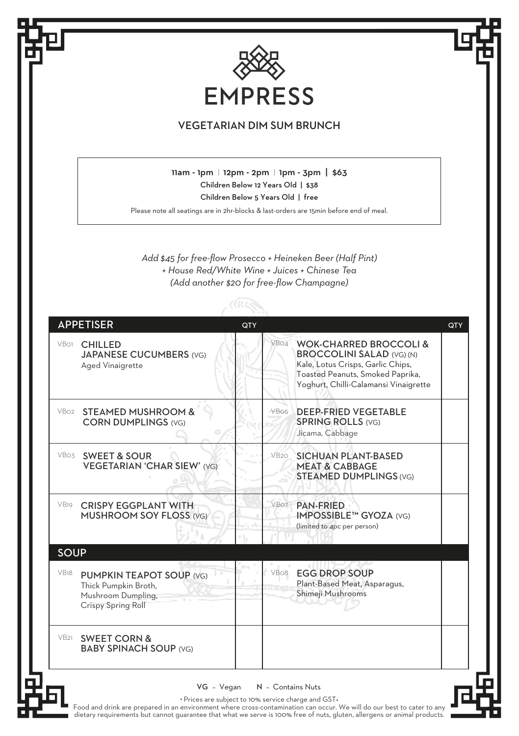